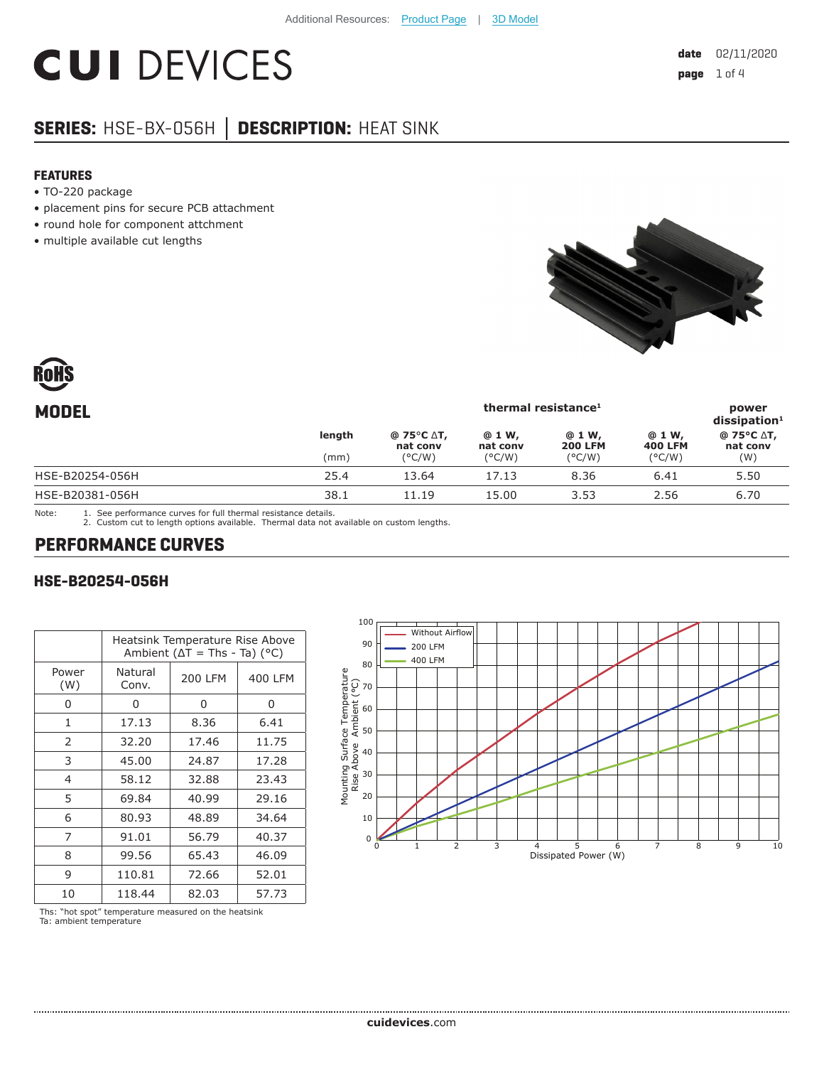# **CUI DEVICES**

# **SERIES:** HSE-BX-056H **│ DESCRIPTION:** HEAT SINK

#### **FEATURES**

- TO-220 package
- placement pins for secure PCB attachment
- round hole for component attchment
- multiple available cut lengths





| <b>MODEL</b>    | thermal resistance <sup>1</sup> |                        |                    |                          | power<br>$dis$ sipation <sup>1</sup> |                        |
|-----------------|---------------------------------|------------------------|--------------------|--------------------------|--------------------------------------|------------------------|
|                 | length                          | @ 75°C ∆T,<br>nat conv | @ 1 W,<br>nat conv | @ 1 W,<br><b>200 LFM</b> | @ 1 W,<br><b>400 LFM</b>             | @ 75°C ∆T,<br>nat conv |
|                 | (mm)                            | $(^{\circ}C/W)$        | $(^{\circ}C/W)$    | $(^{\circ}C/W)$          | $(^{\circ}C/W)$                      | (W)                    |
| HSE-B20254-056H | 25.4                            | 13.64                  | 17.13              | 8.36                     | 6.41                                 | 5.50                   |
| HSE-B20381-056H | 38.1                            | 11.19                  | 15.00              | 3.53                     | 2.56                                 | 6.70                   |
|                 |                                 |                        |                    |                          |                                      |                        |

Note: 1. See performance curves for full thermal resistance details.

2. Custom cut to length options available. Thermal data not available on custom lengths.

# **PERFORMANCE CURVES**

#### **HSE-B20254-056H**

|              | Heatsink Temperature Rise Above<br>Ambient ( $\Delta T$ = Ths - Ta) ( $^{\circ}$ C) |         |         |  |
|--------------|-------------------------------------------------------------------------------------|---------|---------|--|
| Power<br>(W) | Natural<br>Conv.                                                                    | 200 LFM | 400 LFM |  |
| O            | O                                                                                   | 0       | 0       |  |
| $\mathbf{1}$ | 17.13                                                                               | 8.36    | 6.41    |  |
| 2            | 32.20                                                                               | 17.46   | 11.75   |  |
| 3            | 45.00                                                                               | 24.87   | 17.28   |  |
| 4            | 58.12                                                                               | 32.88   | 23.43   |  |
| 5            | 69.84                                                                               | 40.99   | 29.16   |  |
| 6            | 80.93                                                                               | 48.89   | 34.64   |  |
| 7            | 91.01                                                                               | 56.79   | 40.37   |  |
| 8            | 99.56                                                                               | 65.43   | 46.09   |  |
| 9            | 110.81                                                                              | 72.66   | 52.01   |  |
| 10           | 118.44                                                                              | 82.03   | 57.73   |  |



Ths: "hot spot" temperature measured on the heatsink

Ta: ambient temperature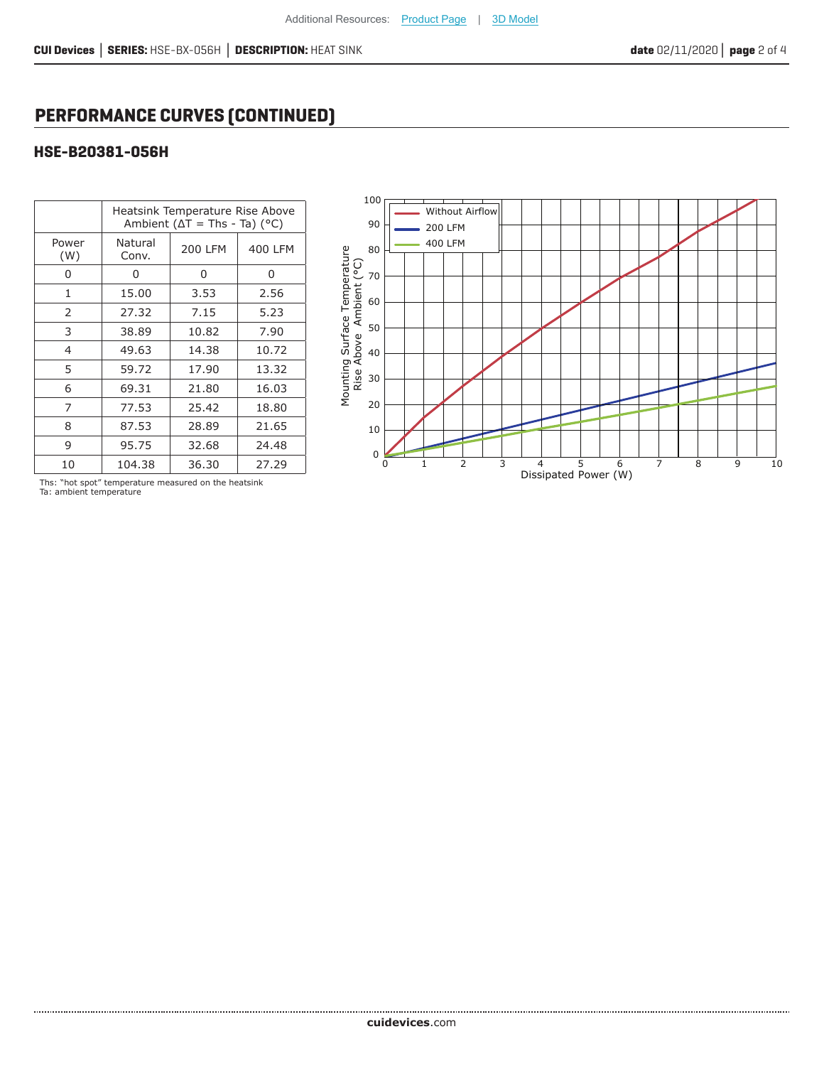# **PERFORMANCE CURVES (CONTINUED)**

### **HSE-B20381-056H**

|                | Heatsink Temperature Rise Above<br>Ambient ( $\Delta T$ = Ths - Ta) (°C) |         |         |  |
|----------------|--------------------------------------------------------------------------|---------|---------|--|
| Power<br>(W)   | Natural<br>Conv.                                                         | 200 LFM | 400 LFM |  |
| ი              | 0                                                                        | 0       | 0       |  |
| 1              | 15.00                                                                    | 3.53    | 2.56    |  |
| 2              | 27.32                                                                    | 7.15    | 5.23    |  |
| 3              | 38.89                                                                    | 10.82   | 7.90    |  |
| $\overline{4}$ | 49.63                                                                    | 14.38   | 10.72   |  |
| 5              | 59.72                                                                    | 17.90   | 13.32   |  |
| 6              | 69.31                                                                    | 21.80   | 16.03   |  |
| 7              | 77.53                                                                    | 25.42   | 18.80   |  |
| 8              | 87.53                                                                    | 28.89   | 21.65   |  |
| 9              | 95.75                                                                    | 32.68   | 24.48   |  |
| 10             | 104.38                                                                   | 36.30   | 27.29   |  |



Ths: "hot spot" temperature measured on the heatsink Ta: ambient temperature

.......................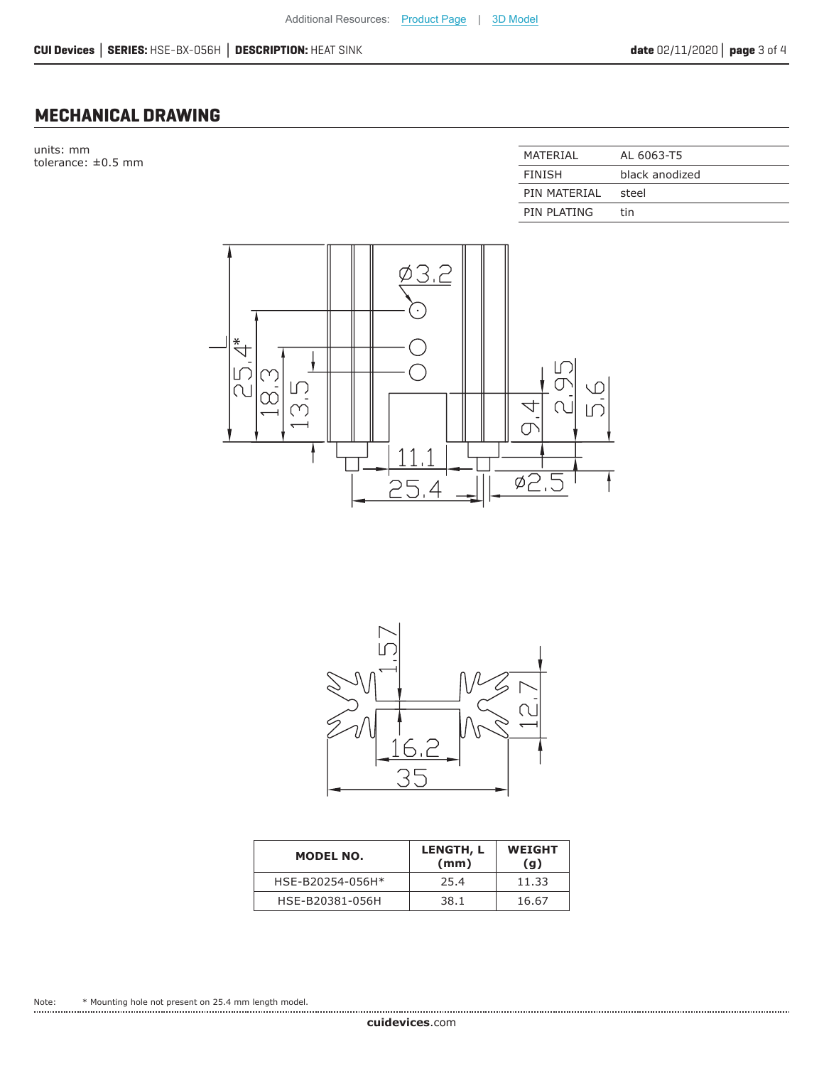# **MECHANICAL DRAWING**

units: mm  $t$ olerance:  $\pm 0.5$  mm

| MATFRIAI      | AL 6063-T5     |
|---------------|----------------|
| <b>FINISH</b> | black anodized |
| PIN MATFRIAL  | steel          |
| PIN PLATING   | tin            |





| MODEL NO.        | LENGTH, L<br>(mm) | <b>WEIGHT</b><br>(g) |
|------------------|-------------------|----------------------|
| HSE-B20254-056H* | 25.4              | 11.33                |
| HSE-B20381-056H  | 38.1              | 16.67                |